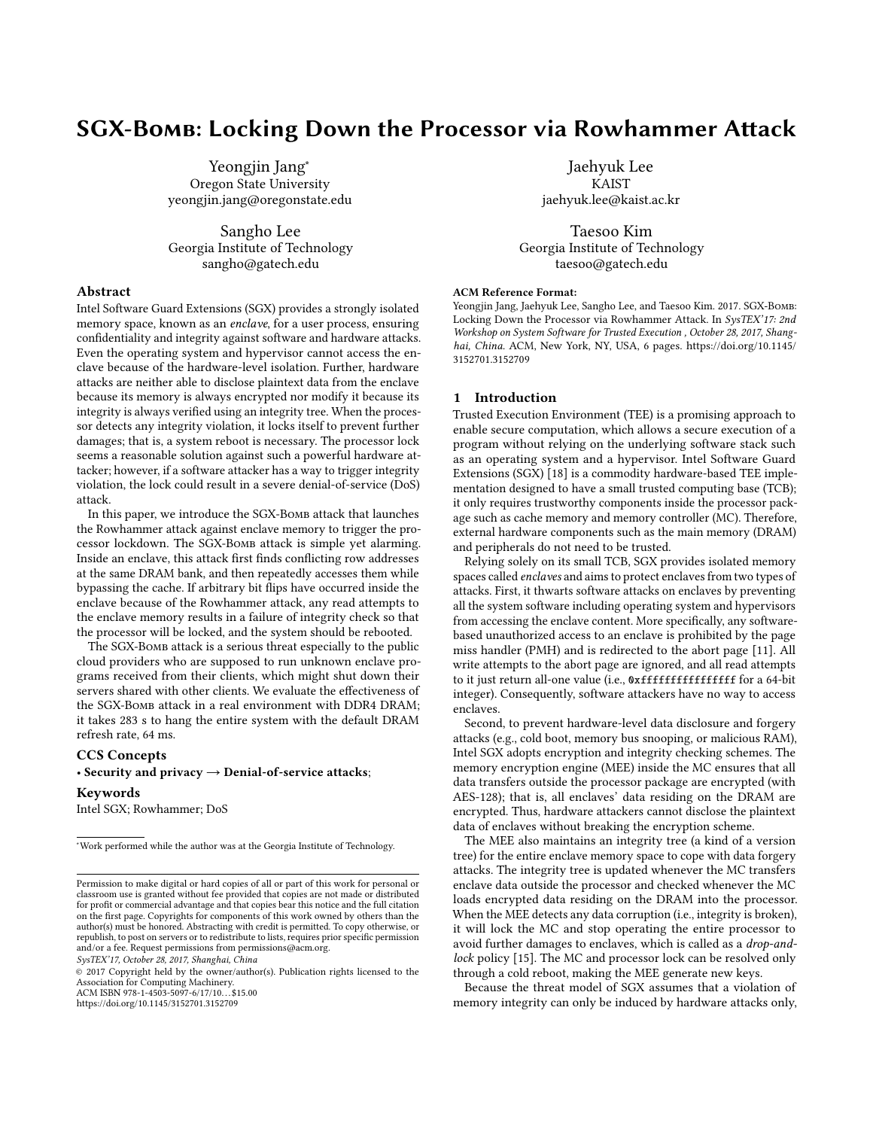# <span id="page-0-0"></span>SGX-Bomb: Locking Down the Processor via Rowhammer Attack

Yeongjin Jang<sup>∗</sup> Oregon State University yeongjin.jang@oregonstate.edu

Sangho Lee Georgia Institute of Technology sangho@gatech.edu

# Abstract

Intel Software Guard Extensions (SGX) provides a strongly isolated memory space, known as an enclave, for a user process, ensuring confidentiality and integrity against software and hardware attacks. Even the operating system and hypervisor cannot access the enclave because of the hardware-level isolation. Further, hardware attacks are neither able to disclose plaintext data from the enclave because its memory is always encrypted nor modify it because its integrity is always verified using an integrity tree. When the processor detects any integrity violation, it locks itself to prevent further damages; that is, a system reboot is necessary. The processor lock seems a reasonable solution against such a powerful hardware attacker; however, if a software attacker has a way to trigger integrity violation, the lock could result in a severe denial-of-service (DoS) attack.

In this paper, we introduce the SGX-Bomb attack that launches the Rowhammer attack against enclave memory to trigger the processor lockdown. The SGX-Bomb attack is simple yet alarming. Inside an enclave, this attack first finds conflicting row addresses at the same DRAM bank, and then repeatedly accesses them while bypassing the cache. If arbitrary bit flips have occurred inside the enclave because of the Rowhammer attack, any read attempts to the enclave memory results in a failure of integrity check so that the processor will be locked, and the system should be rebooted.

The SGX-Bomb attack is a serious threat especially to the public cloud providers who are supposed to run unknown enclave programs received from their clients, which might shut down their servers shared with other clients. We evaluate the effectiveness of the SGX-Bomb attack in a real environment with DDR4 DRAM; it takes 283 s to hang the entire system with the default DRAM refresh rate, 64 ms.

### CCS Concepts

## • Security and privacy  $\rightarrow$  Denial-of-service attacks;

Keywords Intel SGX; Rowhammer; DoS

© 2017 Copyright held by the owner/author(s). Publication rights licensed to the Association for Computing Machinery.

ACM ISBN 978-1-4503-5097-6/17/10...\$15.00

<https://doi.org/10.1145/3152701.3152709>

Jaehyuk Lee KAIST jaehyuk.lee@kaist.ac.kr

Taesoo Kim Georgia Institute of Technology taesoo@gatech.edu

### ACM Reference Format:

Yeongjin Jang, Jaehyuk Lee, Sangho Lee, and Taesoo Kim. 2017. SGX-Bomb: Locking Down the Processor via Rowhammer Attack. In SysTEX'17: 2nd Workshop on System Software for Trusted Execution , October 28, 2017, Shanghai, China. ACM, New York, NY, USA, [6](#page-0-0) pages. [https://doi.org/10.1145/](https://doi.org/10.1145/3152701.3152709) [3152701.3152709](https://doi.org/10.1145/3152701.3152709)

### 1 Introduction

Trusted Execution Environment (TEE) is a promising approach to enable secure computation, which allows a secure execution of a program without relying on the underlying software stack such as an operating system and a hypervisor. Intel Software Guard Extensions (SGX) [\[18\]](#page-5-0) is a commodity hardware-based TEE implementation designed to have a small trusted computing base (TCB); it only requires trustworthy components inside the processor package such as cache memory and memory controller (MC). Therefore, external hardware components such as the main memory (DRAM) and peripherals do not need to be trusted.

Relying solely on its small TCB, SGX provides isolated memory spaces called enclaves and aims to protect enclaves from two types of attacks. First, it thwarts software attacks on enclaves by preventing all the system software including operating system and hypervisors from accessing the enclave content. More specifically, any softwarebased unauthorized access to an enclave is prohibited by the page miss handler (PMH) and is redirected to the abort page [\[11\]](#page-5-1). All write attempts to the abort page are ignored, and all read attempts to it just return all-one value (i.e., 0xffffffffffffffff for a 64-bit integer). Consequently, software attackers have no way to access enclaves.

Second, to prevent hardware-level data disclosure and forgery attacks (e.g., cold boot, memory bus snooping, or malicious RAM), Intel SGX adopts encryption and integrity checking schemes. The memory encryption engine (MEE) inside the MC ensures that all data transfers outside the processor package are encrypted (with AES-128); that is, all enclaves' data residing on the DRAM are encrypted. Thus, hardware attackers cannot disclose the plaintext data of enclaves without breaking the encryption scheme.

The MEE also maintains an integrity tree (a kind of a version tree) for the entire enclave memory space to cope with data forgery attacks. The integrity tree is updated whenever the MC transfers enclave data outside the processor and checked whenever the MC loads encrypted data residing on the DRAM into the processor. When the MEE detects any data corruption (i.e., integrity is broken), it will lock the MC and stop operating the entire processor to avoid further damages to enclaves, which is called as a drop-andlock policy [\[15\]](#page-5-2). The MC and processor lock can be resolved only through a cold reboot, making the MEE generate new keys.

Because the threat model of SGX assumes that a violation of memory integrity can only be induced by hardware attacks only,

<sup>∗</sup>Work performed while the author was at the Georgia Institute of Technology.

Permission to make digital or hard copies of all or part of this work for personal or classroom use is granted without fee provided that copies are not made or distributed for profit or commercial advantage and that copies bear this notice and the full citation on the first page. Copyrights for components of this work owned by others than the author(s) must be honored. Abstracting with credit is permitted. To copy otherwise, or republish, to post on servers or to redistribute to lists, requires prior specific permission and/or a fee. Request permissions from permissions@acm.org.

SysTEX'17, October 28, 2017, Shanghai, China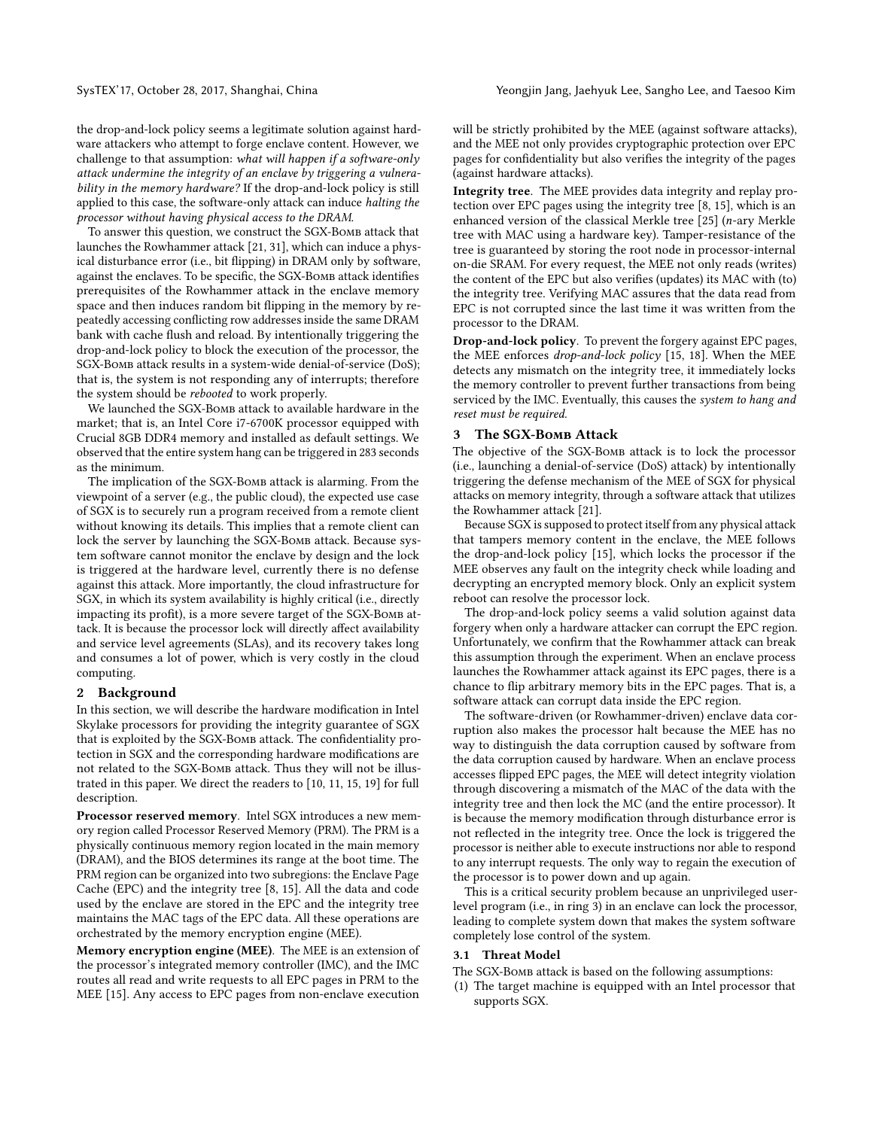the drop-and-lock policy seems a legitimate solution against hardware attackers who attempt to forge enclave content. However, we challenge to that assumption: what will happen if a software-only attack undermine the integrity of an enclave by triggering a vulnerability in the memory hardware? If the drop-and-lock policy is still applied to this case, the software-only attack can induce halting the processor without having physical access to the DRAM.

To answer this question, we construct the SGX-Bomb attack that launches the Rowhammer attack [\[21,](#page-5-3) [31\]](#page-5-4), which can induce a physical disturbance error (i.e., bit flipping) in DRAM only by software, against the enclaves. To be specific, the SGX-Bomb attack identifies prerequisites of the Rowhammer attack in the enclave memory space and then induces random bit flipping in the memory by repeatedly accessing conflicting row addresses inside the same DRAM bank with cache flush and reload. By intentionally triggering the drop-and-lock policy to block the execution of the processor, the SGX-Bomb attack results in a system-wide denial-of-service (DoS); that is, the system is not responding any of interrupts; therefore the system should be rebooted to work properly.

We launched the SGX-Bomb attack to available hardware in the market; that is, an Intel Core i7-6700K processor equipped with Crucial 8GB DDR4 memory and installed as default settings. We observed that the entire system hang can be triggered in 283 seconds as the minimum.

The implication of the SGX-BOMB attack is alarming. From the viewpoint of a server (e.g., the public cloud), the expected use case of SGX is to securely run a program received from a remote client without knowing its details. This implies that a remote client can lock the server by launching the SGX-Bomb attack. Because system software cannot monitor the enclave by design and the lock is triggered at the hardware level, currently there is no defense against this attack. More importantly, the cloud infrastructure for SGX, in which its system availability is highly critical (i.e., directly impacting its profit), is a more severe target of the SGX-Bomb attack. It is because the processor lock will directly affect availability and service level agreements (SLAs), and its recovery takes long and consumes a lot of power, which is very costly in the cloud computing.

### 2 Background

In this section, we will describe the hardware modification in Intel Skylake processors for providing the integrity guarantee of SGX that is exploited by the SGX-Bomb attack. The confidentiality protection in SGX and the corresponding hardware modifications are not related to the SGX-Bomb attack. Thus they will not be illustrated in this paper. We direct the readers to [\[10,](#page-5-5) [11,](#page-5-1) [15,](#page-5-2) [19\]](#page-5-6) for full description.

Processor reserved memory. Intel SGX introduces a new memory region called Processor Reserved Memory (PRM). The PRM is a physically continuous memory region located in the main memory (DRAM), and the BIOS determines its range at the boot time. The PRM region can be organized into two subregions: the Enclave Page Cache (EPC) and the integrity tree [\[8,](#page-5-7) [15\]](#page-5-2). All the data and code used by the enclave are stored in the EPC and the integrity tree maintains the MAC tags of the EPC data. All these operations are orchestrated by the memory encryption engine (MEE).

Memory encryption engine (MEE). The MEE is an extension of the processor's integrated memory controller (IMC), and the IMC routes all read and write requests to all EPC pages in PRM to the MEE [\[15\]](#page-5-2). Any access to EPC pages from non-enclave execution

will be strictly prohibited by the MEE (against software attacks), and the MEE not only provides cryptographic protection over EPC pages for confidentiality but also verifies the integrity of the pages (against hardware attacks).

Integrity tree. The MEE provides data integrity and replay protection over EPC pages using the integrity tree [\[8,](#page-5-7) [15\]](#page-5-2), which is an enhanced version of the classical Merkle tree [\[25\]](#page-5-8) (n-ary Merkle tree with MAC using a hardware key). Tamper-resistance of the tree is guaranteed by storing the root node in processor-internal on-die SRAM. For every request, the MEE not only reads (writes) the content of the EPC but also verifies (updates) its MAC with (to) the integrity tree. Verifying MAC assures that the data read from EPC is not corrupted since the last time it was written from the processor to the DRAM.

Drop-and-lock policy. To prevent the forgery against EPC pages, the MEE enforces drop-and-lock policy [\[15,](#page-5-2) [18\]](#page-5-0). When the MEE detects any mismatch on the integrity tree, it immediately locks the memory controller to prevent further transactions from being serviced by the IMC. Eventually, this causes the system to hang and reset must be required.

### 3 The SGX-Bomb Attack

The objective of the SGX-BOMB attack is to lock the processor (i.e., launching a denial-of-service (DoS) attack) by intentionally triggering the defense mechanism of the MEE of SGX for physical attacks on memory integrity, through a software attack that utilizes the Rowhammer attack [\[21\]](#page-5-3).

Because SGX is supposed to protect itself from any physical attack that tampers memory content in the enclave, the MEE follows the drop-and-lock policy [\[15\]](#page-5-2), which locks the processor if the MEE observes any fault on the integrity check while loading and decrypting an encrypted memory block. Only an explicit system reboot can resolve the processor lock.

The drop-and-lock policy seems a valid solution against data forgery when only a hardware attacker can corrupt the EPC region. Unfortunately, we confirm that the Rowhammer attack can break this assumption through the experiment. When an enclave process launches the Rowhammer attack against its EPC pages, there is a chance to flip arbitrary memory bits in the EPC pages. That is, a software attack can corrupt data inside the EPC region.

The software-driven (or Rowhammer-driven) enclave data corruption also makes the processor halt because the MEE has no way to distinguish the data corruption caused by software from the data corruption caused by hardware. When an enclave process accesses flipped EPC pages, the MEE will detect integrity violation through discovering a mismatch of the MAC of the data with the integrity tree and then lock the MC (and the entire processor). It is because the memory modification through disturbance error is not reflected in the integrity tree. Once the lock is triggered the processor is neither able to execute instructions nor able to respond to any interrupt requests. The only way to regain the execution of the processor is to power down and up again.

This is a critical security problem because an unprivileged userlevel program (i.e., in ring 3) in an enclave can lock the processor, leading to complete system down that makes the system software completely lose control of the system.

### 3.1 Threat Model

- The SGX-Bomb attack is based on the following assumptions:
- (1) The target machine is equipped with an Intel processor that supports SGX.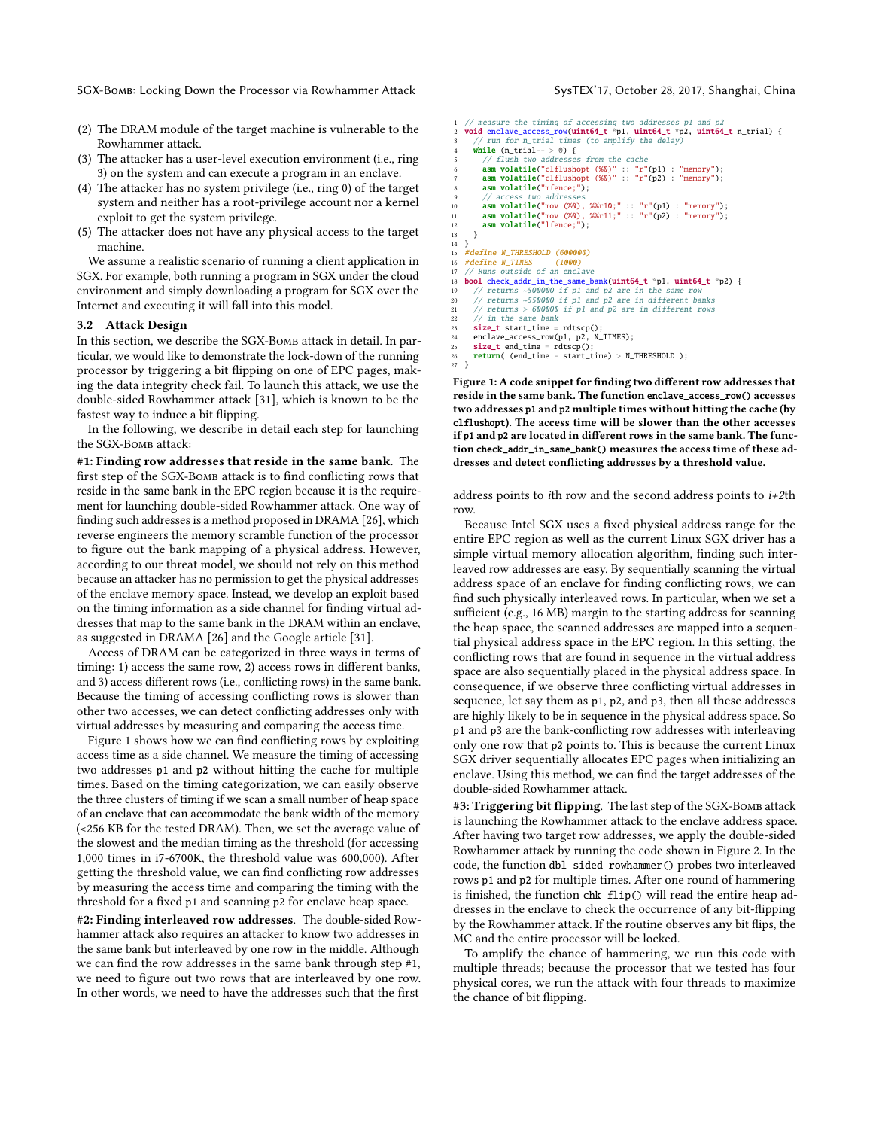SGX-Bomb: Locking Down the Processor via Rowhammer Attack SysTEX'17, October 28, 2017, Shanghai, China

- (2) The DRAM module of the target machine is vulnerable to the Rowhammer attack.
- (3) The attacker has a user-level execution environment (i.e., ring 3) on the system and can execute a program in an enclave.
- (4) The attacker has no system privilege (i.e., ring 0) of the target system and neither has a root-privilege account nor a kernel exploit to get the system privilege.
- (5) The attacker does not have any physical access to the target machine.

We assume a realistic scenario of running a client application in SGX. For example, both running a program in SGX under the cloud environment and simply downloading a program for SGX over the Internet and executing it will fall into this model.

### <span id="page-2-1"></span>3.2 Attack Design

In this section, we describe the SGX-Bomb attack in detail. In particular, we would like to demonstrate the lock-down of the running processor by triggering a bit flipping on one of EPC pages, making the data integrity check fail. To launch this attack, we use the double-sided Rowhammer attack [\[31\]](#page-5-4), which is known to be the fastest way to induce a bit flipping.

In the following, we describe in detail each step for launching the SGX-Вомв attack:

#1: Finding row addresses that reside in the same bank. The first step of the SGX-Bomb attack is to find conflicting rows that reside in the same bank in the EPC region because it is the requirement for launching double-sided Rowhammer attack. One way of finding such addresses is a method proposed in DRAMA [\[26\]](#page-5-9), which reverse engineers the memory scramble function of the processor to figure out the bank mapping of a physical address. However, according to our threat model, we should not rely on this method because an attacker has no permission to get the physical addresses of the enclave memory space. Instead, we develop an exploit based on the timing information as a side channel for finding virtual addresses that map to the same bank in the DRAM within an enclave, as suggested in DRAMA [\[26\]](#page-5-9) and the Google article [\[31\]](#page-5-4).

Access of DRAM can be categorized in three ways in terms of timing: 1) access the same row, 2) access rows in different banks, and 3) access different rows (i.e., conflicting rows) in the same bank. Because the timing of accessing conflicting rows is slower than other two accesses, we can detect conflicting addresses only with virtual addresses by measuring and comparing the access time.

[Figure 1](#page-2-0) shows how we can find conflicting rows by exploiting access time as a side channel. We measure the timing of accessing two addresses p1 and p2 without hitting the cache for multiple times. Based on the timing categorization, we can easily observe the three clusters of timing if we scan a small number of heap space of an enclave that can accommodate the bank width of the memory (<256 KB for the tested DRAM). Then, we set the average value of the slowest and the median timing as the threshold (for accessing 1,000 times in i7-6700K, the threshold value was 600,000). After getting the threshold value, we can find conflicting row addresses by measuring the access time and comparing the timing with the threshold for a fixed p1 and scanning p2 for enclave heap space.

#2: Finding interleaved row addresses. The double-sided Rowhammer attack also requires an attacker to know two addresses in the same bank but interleaved by one row in the middle. Although we can find the row addresses in the same bank through step #1, we need to figure out two rows that are interleaved by one row. In other words, we need to have the addresses such that the first

```
1 // measure the timing of accessing two addresses p1 and p2<br>2 void enclave_access_row(uint64_t *p1, uint64_t *p2, uint64_t n_trial) {<br>3 // run for n_trial times (to amplify the delay)
 4 while (n_trial-- > 0) {
5 // flush two addresses from the cache
 6 asm volatile("clflushopt (%0)" :: "r"(p1) : "memory");
7 asm volatile("clflushopt (%0)" :: "r"(p2) : "memory");
           asm volatile("mfence;");
           // access two addresses
10 asm volatile("mov (%0), %%r10;" :: "r"(p1) : "memory");
11 asm volatile("mov (%0), %%r11;" :: "r"(p2) : "memory");
12 asm volatile("lfence;");
13 }
14 }
15 #define N_THRESHOLD (600000)
16 #define N_TIMES (1000)
17 // Runs outside of an enclave
18 bool check_addr_in_the_same_bank(uint64_t *p1, uint64_t *p2) {<br>19 // returns ~500000 if p1 and p2 are in the same row<br>20 // returns ~550000 if p1 and p2 are in different banks
21 // returns > 600000 if p1 and p2 are in different rows<br>
22 // in the same bank<br>
23 size_t start_time = rdtscp();
22 // in the same bank<br>23 size_t start_time = rdtscp();
24 enclave_access_row(p1, p2, N_TIMES);
25 size_t end_time = rdtscp();
26 return( (end_time - start_time) > N_THRESHOLD );
27 \frac{1}{27}
```
Figure 1: A code snippet for finding two different row addresses that reside in the same bank. The function enclave\_access\_row() accesses two addresses p1 and p2 multiple times without hitting the cache (by clflushopt). The access time will be slower than the other accesses if p1 and p2 are located in different rows in the same bank. The function check\_addr\_in\_same\_bank() measures the access time of these ad-

dresses and detect conflicting addresses by a threshold value.

address points to *i*th row and the second address points to  $i+2$ th row.

Because Intel SGX uses a fixed physical address range for the entire EPC region as well as the current Linux SGX driver has a simple virtual memory allocation algorithm, finding such interleaved row addresses are easy. By sequentially scanning the virtual address space of an enclave for finding conflicting rows, we can find such physically interleaved rows. In particular, when we set a sufficient (e.g., 16 MB) margin to the starting address for scanning the heap space, the scanned addresses are mapped into a sequential physical address space in the EPC region. In this setting, the conflicting rows that are found in sequence in the virtual address space are also sequentially placed in the physical address space. In consequence, if we observe three conflicting virtual addresses in sequence, let say them as p1, p2, and p3, then all these addresses are highly likely to be in sequence in the physical address space. So p1 and p3 are the bank-conflicting row addresses with interleaving only one row that p2 points to. This is because the current Linux SGX driver sequentially allocates EPC pages when initializing an enclave. Using this method, we can find the target addresses of the double-sided Rowhammer attack.

#3: Triggering bit flipping. The last step of the SGX-BomB attack is launching the Rowhammer attack to the enclave address space. After having two target row addresses, we apply the double-sided Rowhammer attack by running the code shown in [Figure 2.](#page-3-0) In the code, the function dbl\_sided\_rowhammer() probes two interleaved rows p1 and p2 for multiple times. After one round of hammering is finished, the function chk\_flip() will read the entire heap addresses in the enclave to check the occurrence of any bit-flipping by the Rowhammer attack. If the routine observes any bit flips, the MC and the entire processor will be locked.

To amplify the chance of hammering, we run this code with multiple threads; because the processor that we tested has four physical cores, we run the attack with four threads to maximize the chance of bit flipping.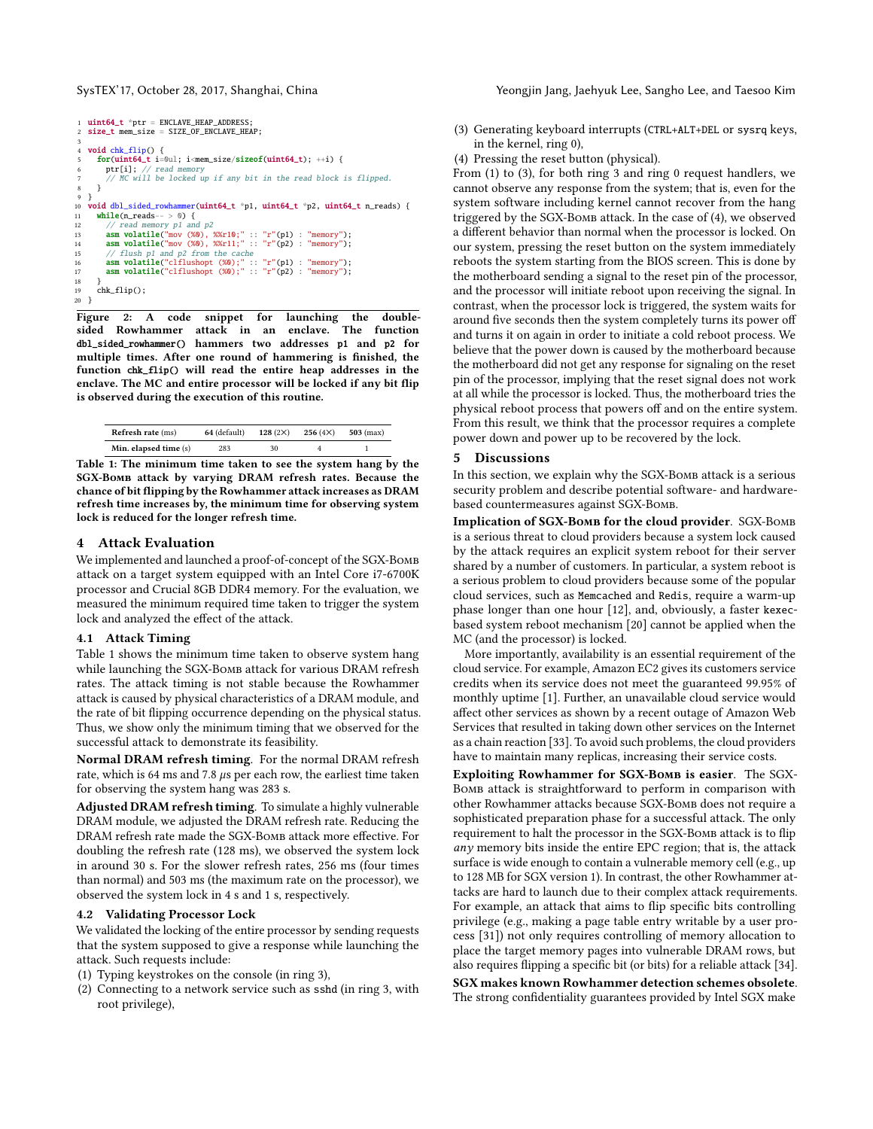SysTEX'17, October 28, 2017, Shanghai, China Yeongjin Jang, Jaehyuk Lee, Sangho Lee, and Taesoo Kim

<span id="page-3-0"></span>1 uint64 t \*ptr = ENCLAVE HEAP ADDRESS: size\_t mem\_size = SIZE\_OF\_ENCLAVE\_HEAP; 3 void  $\text{chk}_\text{flip}()$  {  $for$ (uint64\_t i=0ul; i<mem\_size/sizeof(uint64\_t); ++i) { 6 ptr[i]; // read memory 7 // MC will be locked up if any bit in the read block is flipped. 8 } 9 } 10 void dbl\_sided\_rowhammer(uint64\_t \*p1, uint64\_t \*p2, uint64\_t n\_reads) { 11 while(n\_reads-- > 0) {  $12$  // read memory p1 and p2 13 **asm volatile**("mov (%0), %%r10;" :: "r"(p1) : "memory");<br>14 **asm volatile**("mov (%00), %%r11;" :: "r"(p2) : "memory");<br>15 // flush p1 and p2 from the cache 16 asm volatile("clflushopt (%0);" :: "r"(p1) : "memory"); 17 asm volatile("clflushopt (%0);" :: "r"(p2) : "memory"); 18 }  $\frac{19}{20}$  chk\_flip();  $20$ 

Figure 2: A code snippet for launching the doublesided Rowhammer attack in an enclave. The function dbl\_sided\_rowhammer() hammers two addresses p1 and p2 for multiple times. After one round of hammering is finished, the function chk\_flip() will read the entire heap addresses in the enclave. The MC and entire processor will be locked if any bit flip is observed during the execution of this routine.

<span id="page-3-1"></span>

| <b>Refresh rate (ms)</b> | 64 (default) | 128 $(2)$ | $256(4\times)$ | $503 \; \text{(max)}$ |
|--------------------------|--------------|-----------|----------------|-----------------------|
| Min. elapsed time (s)    | 283          | 30        |                |                       |

Table 1: The minimum time taken to see the system hang by the SGX-Bomb attack by varying DRAM refresh rates. Because the chance of bit flipping by the Rowhammer attack increases as DRAM refresh time increases by, the minimum time for observing system lock is reduced for the longer refresh time.

### 4 Attack Evaluation

We implemented and launched a proof-of-concept of the SGX-Bomb attack on a target system equipped with an Intel Core i7-6700K processor and Crucial 8GB DDR4 memory. For the evaluation, we measured the minimum required time taken to trigger the system lock and analyzed the effect of the attack.

### 4.1 Attack Timing

[Table 1](#page-3-1) shows the minimum time taken to observe system hang while launching the SGX-Bomb attack for various DRAM refresh rates. The attack timing is not stable because the Rowhammer attack is caused by physical characteristics of a DRAM module, and the rate of bit flipping occurrence depending on the physical status. Thus, we show only the minimum timing that we observed for the successful attack to demonstrate its feasibility.

Normal DRAM refresh timing. For the normal DRAM refresh rate, which is 64 ms and 7.8 µs per each row, the earliest time taken for observing the system hang was 283 s.

Adjusted DRAM refresh timing. To simulate a highly vulnerable DRAM module, we adjusted the DRAM refresh rate. Reducing the DRAM refresh rate made the SGX-Bomb attack more effective. For doubling the refresh rate (128 ms), we observed the system lock in around 30 s. For the slower refresh rates, 256 ms (four times than normal) and 503 ms (the maximum rate on the processor), we observed the system lock in 4 s and 1 s, respectively.

## 4.2 Validating Processor Lock

We validated the locking of the entire processor by sending requests that the system supposed to give a response while launching the attack. Such requests include:

- (1) Typing keystrokes on the console (in ring 3),
- (2) Connecting to a network service such as sshd (in ring 3, with root privilege),
- (3) Generating keyboard interrupts (CTRL+ALT+DEL or sysrq keys, in the kernel, ring 0),
- (4) Pressing the reset button (physical).

From (1) to (3), for both ring 3 and ring 0 request handlers, we cannot observe any response from the system; that is, even for the system software including kernel cannot recover from the hang triggered by the SGX-Bomb attack. In the case of (4), we observed a different behavior than normal when the processor is locked. On our system, pressing the reset button on the system immediately reboots the system starting from the BIOS screen. This is done by the motherboard sending a signal to the reset pin of the processor, and the processor will initiate reboot upon receiving the signal. In contrast, when the processor lock is triggered, the system waits for around five seconds then the system completely turns its power off and turns it on again in order to initiate a cold reboot process. We believe that the power down is caused by the motherboard because the motherboard did not get any response for signaling on the reset pin of the processor, implying that the reset signal does not work at all while the processor is locked. Thus, the motherboard tries the physical reboot process that powers off and on the entire system. From this result, we think that the processor requires a complete power down and power up to be recovered by the lock.

### 5 Discussions

In this section, we explain why the SGX-Bomb attack is a serious security problem and describe potential software- and hardwarebased countermeasures against SGX-Bomb.

Implication of SGX-Bomb for the cloud provider. SGX-BOMB is a serious threat to cloud providers because a system lock caused by the attack requires an explicit system reboot for their server shared by a number of customers. In particular, a system reboot is a serious problem to cloud providers because some of the popular cloud services, such as Memcached and Redis, require a warm-up phase longer than one hour [\[12\]](#page-5-10), and, obviously, a faster kexecbased system reboot mechanism [\[20\]](#page-5-11) cannot be applied when the MC (and the processor) is locked.

More importantly, availability is an essential requirement of the cloud service. For example, Amazon EC2 gives its customers service credits when its service does not meet the guaranteed 99.95% of monthly uptime [\[1\]](#page-5-12). Further, an unavailable cloud service would affect other services as shown by a recent outage of Amazon Web Services that resulted in taking down other services on the Internet as a chain reaction [\[33\]](#page-5-13). To avoid such problems, the cloud providers have to maintain many replicas, increasing their service costs.

Exploiting Rowhammer for SGX-Bomb is easier. The SGX-BOMB attack is straightforward to perform in comparison with other Rowhammer attacks because SGX-Bomb does not require a sophisticated preparation phase for a successful attack. The only requirement to halt the processor in the SGX-Bomb attack is to flip any memory bits inside the entire EPC region; that is, the attack surface is wide enough to contain a vulnerable memory cell (e.g., up to 128 MB for SGX version 1). In contrast, the other Rowhammer attacks are hard to launch due to their complex attack requirements. For example, an attack that aims to flip specific bits controlling privilege (e.g., making a page table entry writable by a user process [\[31\]](#page-5-4)) not only requires controlling of memory allocation to place the target memory pages into vulnerable DRAM rows, but also requires flipping a specific bit (or bits) for a reliable attack [\[34\]](#page-5-14). SGX makes known Rowhammer detection schemes obsolete. The strong confidentiality guarantees provided by Intel SGX make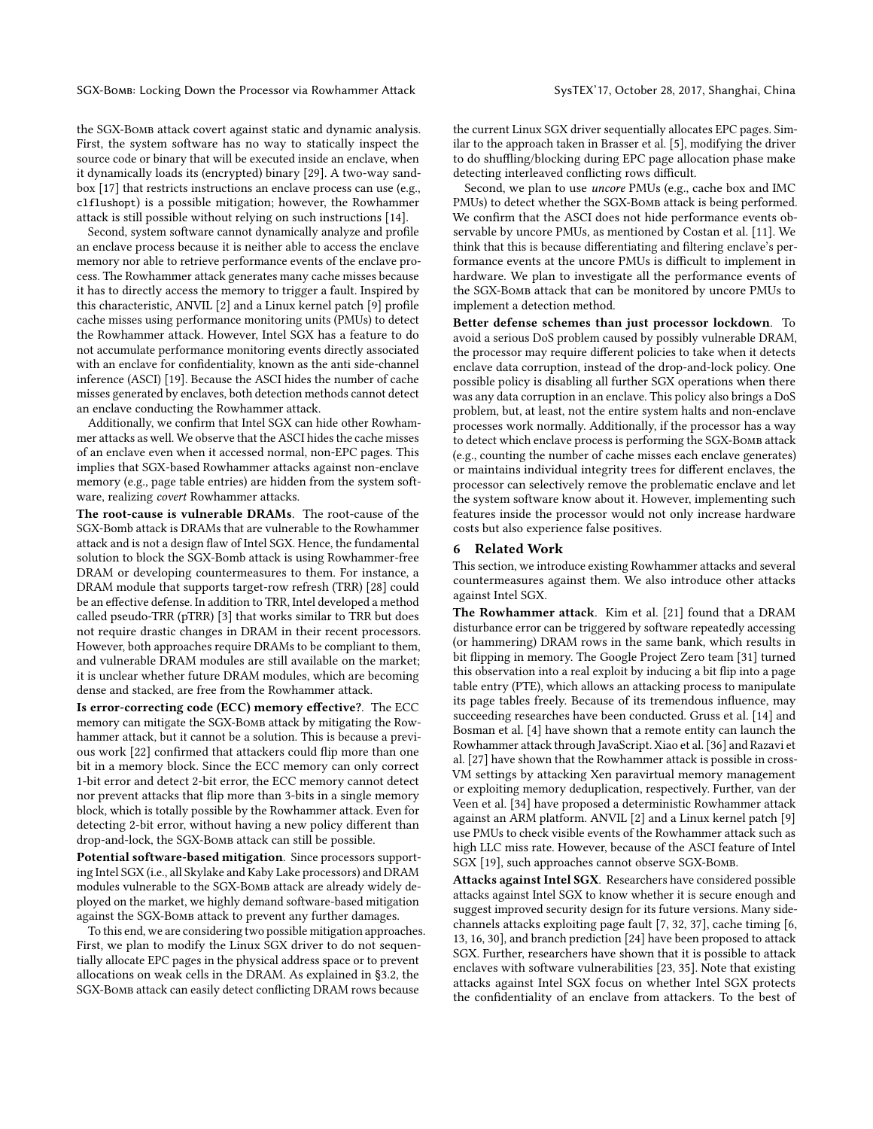SGX-Bomb: Locking Down the Processor via Rowhammer Attack SysTEX'17, October 28, 2017, Shanghai, China

the SGX-Bomb attack covert against static and dynamic analysis. First, the system software has no way to statically inspect the source code or binary that will be executed inside an enclave, when it dynamically loads its (encrypted) binary [\[29\]](#page-5-15). A two-way sandbox [\[17\]](#page-5-16) that restricts instructions an enclave process can use (e.g., clflushopt) is a possible mitigation; however, the Rowhammer attack is still possible without relying on such instructions [\[14\]](#page-5-17).

Second, system software cannot dynamically analyze and profile an enclave process because it is neither able to access the enclave memory nor able to retrieve performance events of the enclave process. The Rowhammer attack generates many cache misses because it has to directly access the memory to trigger a fault. Inspired by this characteristic, ANVIL [\[2\]](#page-5-18) and a Linux kernel patch [\[9\]](#page-5-19) profile cache misses using performance monitoring units (PMUs) to detect the Rowhammer attack. However, Intel SGX has a feature to do not accumulate performance monitoring events directly associated with an enclave for confidentiality, known as the anti side-channel inference (ASCI) [\[19\]](#page-5-6). Because the ASCI hides the number of cache misses generated by enclaves, both detection methods cannot detect an enclave conducting the Rowhammer attack.

Additionally, we confirm that Intel SGX can hide other Rowhammer attacks as well. We observe that the ASCI hides the cache misses of an enclave even when it accessed normal, non-EPC pages. This implies that SGX-based Rowhammer attacks against non-enclave memory (e.g., page table entries) are hidden from the system software, realizing covert Rowhammer attacks.

The root-cause is vulnerable DRAMs. The root-cause of the SGX-Bomb attack is DRAMs that are vulnerable to the Rowhammer attack and is not a design flaw of Intel SGX. Hence, the fundamental solution to block the SGX-Bomb attack is using Rowhammer-free DRAM or developing countermeasures to them. For instance, a DRAM module that supports target-row refresh (TRR) [\[28\]](#page-5-20) could be an effective defense. In addition to TRR, Intel developed a method called pseudo-TRR (pTRR) [\[3\]](#page-5-21) that works similar to TRR but does not require drastic changes in DRAM in their recent processors. However, both approaches require DRAMs to be compliant to them, and vulnerable DRAM modules are still available on the market; it is unclear whether future DRAM modules, which are becoming dense and stacked, are free from the Rowhammer attack.

Is error-correcting code (ECC) memory effective?. The ECC memory can mitigate the SGX-Bomb attack by mitigating the Rowhammer attack, but it cannot be a solution. This is because a previous work [\[22\]](#page-5-22) confirmed that attackers could flip more than one bit in a memory block. Since the ECC memory can only correct 1-bit error and detect 2-bit error, the ECC memory cannot detect nor prevent attacks that flip more than 3-bits in a single memory block, which is totally possible by the Rowhammer attack. Even for detecting 2-bit error, without having a new policy different than drop-and-lock, the SGX-Bomb attack can still be possible.

Potential software-based mitigation. Since processors supporting Intel SGX (i.e., all Skylake and Kaby Lake processors) and DRAM modules vulnerable to the SGX-BOMB attack are already widely deployed on the market, we highly demand software-based mitigation against the SGX-Bomb attack to prevent any further damages.

To this end, we are considering two possible mitigation approaches. First, we plan to modify the Linux SGX driver to do not sequentially allocate EPC pages in the physical address space or to prevent allocations on weak cells in the DRAM. As explained in [§3.2,](#page-2-1) the SGX-Bomb attack can easily detect conflicting DRAM rows because

the current Linux SGX driver sequentially allocates EPC pages. Similar to the approach taken in Brasser et al. [\[5\]](#page-5-23), modifying the driver to do shuffling/blocking during EPC page allocation phase make detecting interleaved conflicting rows difficult.

Second, we plan to use uncore PMUs (e.g., cache box and IMC PMUs) to detect whether the SGX-Bomb attack is being performed. We confirm that the ASCI does not hide performance events observable by uncore PMUs, as mentioned by Costan et al. [\[11\]](#page-5-1). We think that this is because differentiating and filtering enclave's performance events at the uncore PMUs is difficult to implement in hardware. We plan to investigate all the performance events of the SGX-Bomb attack that can be monitored by uncore PMUs to implement a detection method.

Better defense schemes than just processor lockdown. To avoid a serious DoS problem caused by possibly vulnerable DRAM, the processor may require different policies to take when it detects enclave data corruption, instead of the drop-and-lock policy. One possible policy is disabling all further SGX operations when there was any data corruption in an enclave. This policy also brings a DoS problem, but, at least, not the entire system halts and non-enclave processes work normally. Additionally, if the processor has a way to detect which enclave process is performing the SGX-Bomb attack (e.g., counting the number of cache misses each enclave generates) or maintains individual integrity trees for different enclaves, the processor can selectively remove the problematic enclave and let the system software know about it. However, implementing such features inside the processor would not only increase hardware costs but also experience false positives.

### 6 Related Work

This section, we introduce existing Rowhammer attacks and several countermeasures against them. We also introduce other attacks against Intel SGX.

The Rowhammer attack. Kim et al. [\[21\]](#page-5-3) found that a DRAM disturbance error can be triggered by software repeatedly accessing (or hammering) DRAM rows in the same bank, which results in bit flipping in memory. The Google Project Zero team [\[31\]](#page-5-4) turned this observation into a real exploit by inducing a bit flip into a page table entry (PTE), which allows an attacking process to manipulate its page tables freely. Because of its tremendous influence, may succeeding researches have been conducted. Gruss et al. [\[14\]](#page-5-17) and Bosman et al. [\[4\]](#page-5-24) have shown that a remote entity can launch the Rowhammer attack through JavaScript. Xiao et al. [\[36\]](#page-5-25) and Razavi et al. [\[27\]](#page-5-26) have shown that the Rowhammer attack is possible in cross-VM settings by attacking Xen paravirtual memory management or exploiting memory deduplication, respectively. Further, van der Veen et al. [\[34\]](#page-5-14) have proposed a deterministic Rowhammer attack against an ARM platform. ANVIL [\[2\]](#page-5-18) and a Linux kernel patch [\[9\]](#page-5-19) use PMUs to check visible events of the Rowhammer attack such as high LLC miss rate. However, because of the ASCI feature of Intel SGX [\[19\]](#page-5-6), such approaches cannot observe SGX-Bomb.

Attacks against Intel SGX. Researchers have considered possible attacks against Intel SGX to know whether it is secure enough and suggest improved security design for its future versions. Many sidechannels attacks exploiting page fault [\[7,](#page-5-27) [32,](#page-5-28) [37\]](#page-5-29), cache timing [\[6,](#page-5-30) [13,](#page-5-31) [16,](#page-5-32) [30\]](#page-5-33), and branch prediction [\[24\]](#page-5-34) have been proposed to attack SGX. Further, researchers have shown that it is possible to attack enclaves with software vulnerabilities [\[23,](#page-5-35) [35\]](#page-5-36). Note that existing attacks against Intel SGX focus on whether Intel SGX protects the confidentiality of an enclave from attackers. To the best of